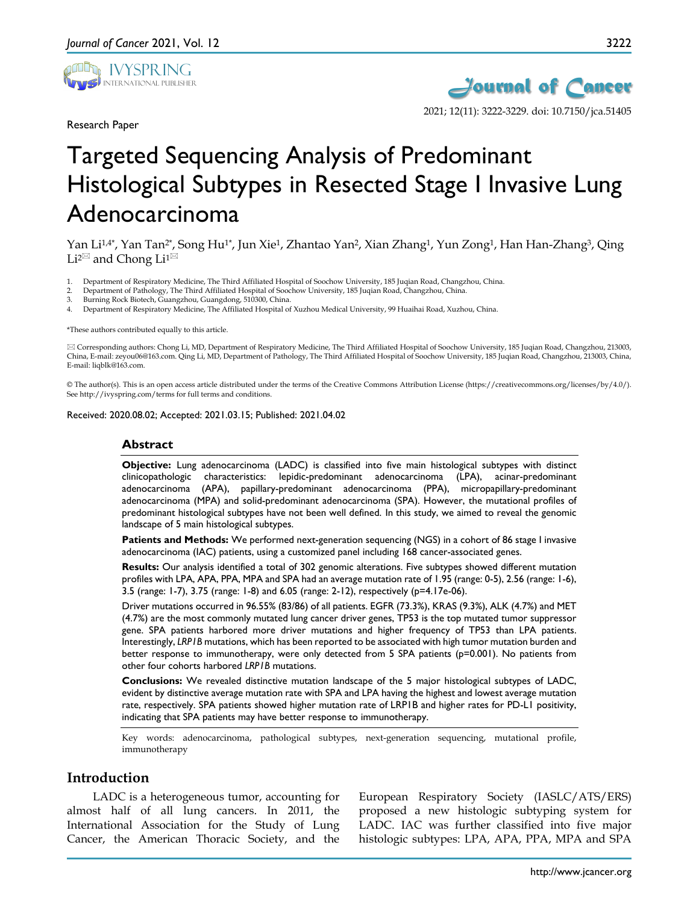

Research Paper



2021; 12(11): 3222-3229. doi: 10.7150/jca.51405

# Targeted Sequencing Analysis of Predominant Histological Subtypes in Resected Stage I Invasive Lung Adenocarcinoma

Yan Li1,4\*, Yan Tan2\*, Song Hu1\*, Jun Xie1, Zhantao Yan2, Xian Zhang1, Yun Zong1, Han Han-Zhang3, Qing  $Li^{2\boxtimes}$  and Chong  $Li^{1\boxtimes}$ 

- 1. Department of Respiratory Medicine, The Third Affiliated Hospital of Soochow University, 185 Juqian Road, Changzhou, China.
- 2. Department of Pathology, The Third Affiliated Hospital of Soochow University, 185 Juqian Road, Changzhou, China.
- 3. Burning Rock Biotech, Guangzhou, Guangdong, 510300, China.
- 4. Department of Respiratory Medicine, The Affiliated Hospital of Xuzhou Medical University, 99 Huaihai Road, Xuzhou, China.

\*These authors contributed equally to this article.

 Corresponding authors: Chong Li, MD, Department of Respiratory Medicine, The Third Affiliated Hospital of Soochow University, 185 Juqian Road, Changzhou, 213003, China, E-mail: zeyou06@163.com. Qing Li, MD, Department of Pathology, The Third Affiliated Hospital of Soochow University, 185 Juqian Road, Changzhou, 213003, China, E-mail: liqblk@163.com.

© The author(s). This is an open access article distributed under the terms of the Creative Commons Attribution License (https://creativecommons.org/licenses/by/4.0/). See http://ivyspring.com/terms for full terms and conditions.

Received: 2020.08.02; Accepted: 2021.03.15; Published: 2021.04.02

## **Abstract**

**Objective:** Lung adenocarcinoma (LADC) is classified into five main histological subtypes with distinct clinicopathologic characteristics: lepidic-predominant adenocarcinoma (LPA), acinar-predominant adenocarcinoma (APA), papillary-predominant adenocarcinoma (PPA), micropapillary-predominant adenocarcinoma (MPA) and solid-predominant adenocarcinoma (SPA). However, the mutational profiles of predominant histological subtypes have not been well defined. In this study, we aimed to reveal the genomic landscape of 5 main histological subtypes.

**Patients and Methods:** We performed next-generation sequencing (NGS) in a cohort of 86 stage I invasive adenocarcinoma (IAC) patients, using a customized panel including 168 cancer-associated genes.

**Results:** Our analysis identified a total of 302 genomic alterations. Five subtypes showed different mutation profiles with LPA, APA, PPA, MPA and SPA had an average mutation rate of 1.95 (range: 0-5), 2.56 (range: 1-6), 3.5 (range: 1-7), 3.75 (range: 1-8) and 6.05 (range: 2-12), respectively (p=4.17e-06).

Driver mutations occurred in 96.55% (83/86) of all patients. EGFR (73.3%), KRAS (9.3%), ALK (4.7%) and MET (4.7%) are the most commonly mutated lung cancer driver genes, TP53 is the top mutated tumor suppressor gene. SPA patients harbored more driver mutations and higher frequency of TP53 than LPA patients. Interestingly, *LRP1B* mutations, which has been reported to be associated with high tumor mutation burden and better response to immunotherapy, were only detected from 5 SPA patients (p=0.001). No patients from other four cohorts harbored *LRP1B* mutations.

**Conclusions:** We revealed distinctive mutation landscape of the 5 major histological subtypes of LADC, evident by distinctive average mutation rate with SPA and LPA having the highest and lowest average mutation rate, respectively. SPA patients showed higher mutation rate of LRP1B and higher rates for PD-L1 positivity, indicating that SPA patients may have better response to immunotherapy.

Key words: adenocarcinoma, pathological subtypes, next-generation sequencing, mutational profile, immunotherapy

# **Introduction**

LADC is a heterogeneous tumor, accounting for almost half of all lung cancers. In 2011, the International Association for the Study of Lung Cancer, the American Thoracic Society, and the

European Respiratory Society (IASLC/ATS/ERS) proposed a new histologic subtyping system for LADC. IAC was further classified into five major histologic subtypes: LPA, APA, PPA, MPA and SPA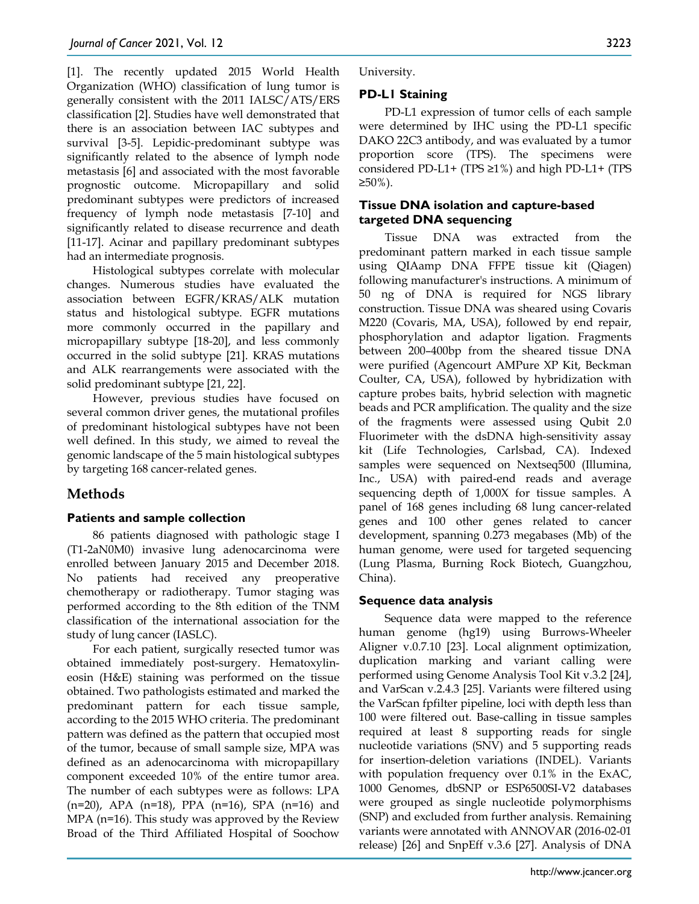[1]. The recently updated 2015 World Health Organization (WHO) classification of lung tumor is generally consistent with the 2011 IALSC/ATS/ERS classification [2]. Studies have well demonstrated that there is an association between IAC subtypes and survival [3-5]. Lepidic-predominant subtype was significantly related to the absence of lymph node metastasis [6] and associated with the most favorable prognostic outcome. Micropapillary and solid predominant subtypes were predictors of increased frequency of lymph node metastasis [7-10] and significantly related to disease recurrence and death [11-17]. Acinar and papillary predominant subtypes had an intermediate prognosis.

Histological subtypes correlate with molecular changes. Numerous studies have evaluated the association between EGFR/KRAS/ALK mutation status and histological subtype. EGFR mutations more commonly occurred in the papillary and micropapillary subtype [18-20], and less commonly occurred in the solid subtype [21]. KRAS mutations and ALK rearrangements were associated with the solid predominant subtype [21, 22].

However, previous studies have focused on several common driver genes, the mutational profiles of predominant histological subtypes have not been well defined. In this study, we aimed to reveal the genomic landscape of the 5 main histological subtypes by targeting 168 cancer-related genes.

# **Methods**

# **Patients and sample collection**

86 patients diagnosed with pathologic stage I (T1-2aN0M0) invasive lung adenocarcinoma were enrolled between January 2015 and December 2018. No patients had received any preoperative chemotherapy or radiotherapy. Tumor staging was performed according to the 8th edition of the TNM classification of the international association for the study of lung cancer (IASLC).

For each patient, surgically resected tumor was obtained immediately post-surgery. Hematoxylineosin (H&E) staining was performed on the tissue obtained. Two pathologists estimated and marked the predominant pattern for each tissue sample, according to the 2015 WHO criteria. The predominant pattern was defined as the pattern that occupied most of the tumor, because of small sample size, MPA was defined as an adenocarcinoma with micropapillary component exceeded 10% of the entire tumor area. The number of each subtypes were as follows: LPA (n=20), APA (n=18), PPA (n=16), SPA (n=16) and MPA (n=16). This study was approved by the Review Broad of the Third Affiliated Hospital of Soochow

University.

# **PD-L1 Staining**

PD-L1 expression of tumor cells of each sample were determined by IHC using the PD-L1 specific DAKO 22C3 antibody, and was evaluated by a tumor proportion score (TPS). The specimens were considered PD-L1+ (TPS ≥1%) and high PD-L1+ (TPS  $≥50\%$ ).

# **Tissue DNA isolation and capture-based targeted DNA sequencing**

Tissue DNA was extracted from the predominant pattern marked in each tissue sample using QIAamp DNA FFPE tissue kit (Qiagen) following manufacturer's instructions. A minimum of 50 ng of DNA is required for NGS library construction. Tissue DNA was sheared using Covaris M220 (Covaris, MA, USA), followed by end repair, phosphorylation and adaptor ligation. Fragments between 200–400bp from the sheared tissue DNA were purified (Agencourt AMPure XP Kit, Beckman Coulter, CA, USA), followed by hybridization with capture probes baits, hybrid selection with magnetic beads and PCR amplification. The quality and the size of the fragments were assessed using Qubit 2.0 Fluorimeter with the dsDNA high-sensitivity assay kit (Life Technologies, Carlsbad, CA). Indexed samples were sequenced on Nextseq500 (Illumina, Inc., USA) with paired-end reads and average sequencing depth of 1,000X for tissue samples. A panel of 168 genes including 68 lung cancer-related genes and 100 other genes related to cancer development, spanning 0.273 megabases (Mb) of the human genome, were used for targeted sequencing (Lung Plasma, Burning Rock Biotech, Guangzhou, China).

# **Sequence data analysis**

Sequence data were mapped to the reference human genome (hg19) using Burrows-Wheeler Aligner v.0.7.10 [23]. Local alignment optimization, duplication marking and variant calling were performed using Genome Analysis Tool Kit v.3.2 [24], and VarScan v.2.4.3 [25]. Variants were filtered using the VarScan fpfilter pipeline, loci with depth less than 100 were filtered out. Base-calling in tissue samples required at least 8 supporting reads for single nucleotide variations (SNV) and 5 supporting reads for insertion-deletion variations (INDEL). Variants with population frequency over 0.1% in the ExAC, 1000 Genomes, dbSNP or ESP6500SI-V2 databases were grouped as single nucleotide polymorphisms (SNP) and excluded from further analysis. Remaining variants were annotated with ANNOVAR (2016-02-01 release) [26] and SnpEff v.3.6 [27]. Analysis of DNA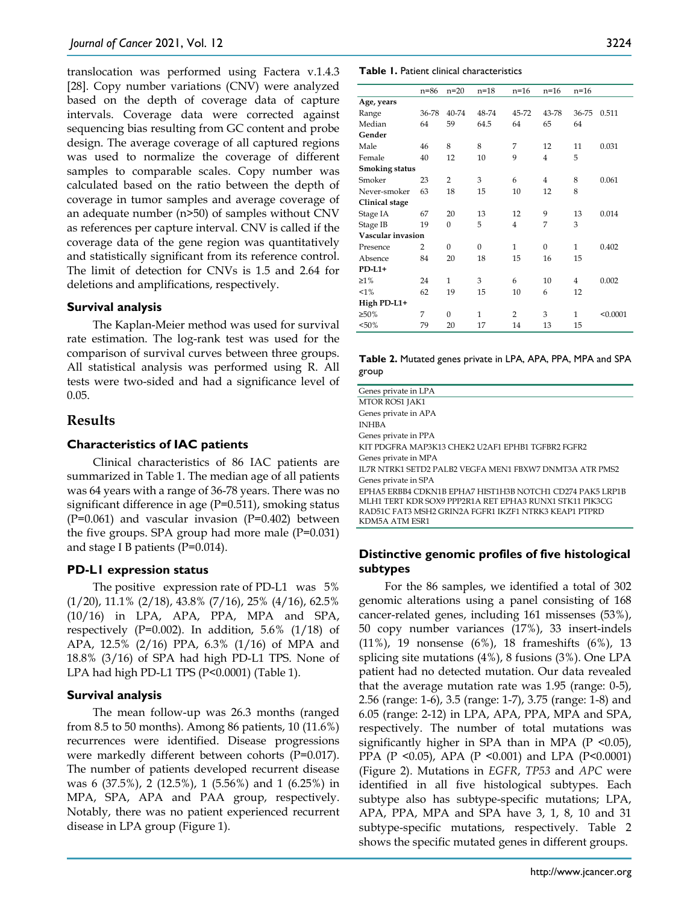translocation was performed using Factera v.1.4.3 [28]. Copy number variations (CNV) were analyzed based on the depth of coverage data of capture intervals. Coverage data were corrected against sequencing bias resulting from GC content and probe design. The average coverage of all captured regions was used to normalize the coverage of different samples to comparable scales. Copy number was calculated based on the ratio between the depth of coverage in tumor samples and average coverage of an adequate number (n>50) of samples without CNV as references per capture interval. CNV is called if the coverage data of the gene region was quantitatively and statistically significant from its reference control. The limit of detection for CNVs is 1.5 and 2.64 for deletions and amplifications, respectively.

## **Survival analysis**

The Kaplan-Meier method was used for survival rate estimation. The log-rank test was used for the comparison of survival curves between three groups. All statistical analysis was performed using R. All tests were two-sided and had a significance level of 0.05.

# **Results**

# **Characteristics of IAC patients**

Clinical characteristics of 86 IAC patients are summarized in Table 1. The median age of all patients was 64 years with a range of 36-78 years. There was no significant difference in age (P=0.511), smoking status  $(P=0.061)$  and vascular invasion  $(P=0.402)$  between the five groups. SPA group had more male (P=0.031) and stage Ⅰ B patients (P=0.014).

## **PD-L1 expression status**

The positive expression rate of PD-L1 was 5% (1/20), 11.1% (2/18), 43.8% (7/16), 25% (4/16), 62.5% (10/16) in LPA, APA, PPA, MPA and SPA, respectively (P=0.002). In addition,  $5.6\%$  (1/18) of APA, 12.5% (2/16) PPA, 6.3% (1/16) of MPA and 18.8% (3/16) of SPA had high PD-L1 TPS. None of LPA had high PD-L1 TPS (P<0.0001) (Table 1).

## **Survival analysis**

The mean follow-up was 26.3 months (ranged from 8.5 to 50 months). Among 86 patients, 10 (11.6%) recurrences were identified. Disease progressions were markedly different between cohorts (P=0.017). The number of patients developed recurrent disease was 6 (37.5%), 2 (12.5%), 1 (5.56%) and 1 (6.25%) in MPA, SPA, APA and PAA group, respectively. Notably, there was no patient experienced recurrent disease in LPA group (Figure 1).

**Table 1.** Patient clinical characteristics

|                       | $n = 86$ | $n=20$           | $n = 18$ | $n=16$         | $n=16$         | $n = 16$       |          |
|-----------------------|----------|------------------|----------|----------------|----------------|----------------|----------|
| Age, years            |          |                  |          |                |                |                |          |
| Range                 | 36-78    | 40-74            | 48-74    | 45-72          | 43-78          | 36-75          | 0.511    |
| Median                | 64       | 59               | 64.5     | 64             | 65             | 64             |          |
| Gender                |          |                  |          |                |                |                |          |
| Male                  | 46       | 8                | 8        | 7              | 12             | 11             | 0.031    |
| Female                | 40       | 12               | 10       | 9              | $\overline{4}$ | 5              |          |
| <b>Smoking status</b> |          |                  |          |                |                |                |          |
| Smoker                | 23       | $\overline{2}$   | 3        | 6              | $\overline{4}$ | 8              | 0.061    |
| Never-smoker          | 63       | 18               | 15       | 10             | 12             | 8              |          |
| Clinical stage        |          |                  |          |                |                |                |          |
| Stage IA              | 67       | 20               | 13       | 12             | 9              | 13             | 0.014    |
| Stage IB              | 19       | $\boldsymbol{0}$ | 5        | $\overline{4}$ | 7              | 3              |          |
| Vascular invasion     |          |                  |          |                |                |                |          |
| Presence              | 2        | $\mathbf{0}$     | $\theta$ | $\overline{1}$ | $\mathbf{0}$   | 1              | 0.402    |
| Absence               | 84       | 20               | 18       | 15             | 16             | 15             |          |
| $PD-L1+$              |          |                  |          |                |                |                |          |
| $\geq$ 1%             | 24       | 1                | 3        | 6              | 10             | $\overline{4}$ | 0.002    |
| $1\%$                 | 62       | 19               | 15       | 10             | 6              | 12             |          |
| High PD-L1+           |          |                  |          |                |                |                |          |
| $>50\%$               | 7        | $\theta$         | 1        | $\overline{2}$ | 3              | 1              | < 0.0001 |
| $< 50\%$              | 79       | 20               | 17       | 14             | 13             | 15             |          |

#### **Table 2.** Mutated genes private in LPA, APA, PPA, MPA and SPA group

| Genes private in LPA                                      |
|-----------------------------------------------------------|
| <b>MTOR ROS1 JAK1</b>                                     |
| Genes private in APA                                      |
| <b>INHBA</b>                                              |
| Genes private in PPA                                      |
| KIT PDGFRA MAP3K13 CHEK2 U2AF1 EPHB1 TGFBR2 FGFR2         |
| Genes private in MPA                                      |
| ILZR NTRK1 SETD2 PALB2 VEGFA MEN1 FBXW7 DNMT3A ATR PMS2   |
| Genes private in SPA                                      |
| EPHA5 ERBB4 CDKN1B EPHA7 HIST1H3B NOTCH1 CD274 PAK5 LRP1B |
| MLH1 TERT KDR SOX9 PPP2R1A RET EPHA3 RUNX1 STK11 PIK3CG   |
| RAD51C FAT3 MSH2 GRIN2A FGFR1 IKZF1 NTRK3 KEAP1 PTPRD     |
| KDM5A ATM ESR1                                            |

# **Distinctive genomic profiles of five histological subtypes**

For the 86 samples, we identified a total of 302 genomic alterations using a panel consisting of 168 cancer-related genes, including 161 missenses (53%), 50 copy number variances (17%), 33 insert-indels (11%), 19 nonsense (6%), 18 frameshifts (6%), 13 splicing site mutations (4%), 8 fusions (3%). One LPA patient had no detected mutation. Our data revealed that the average mutation rate was 1.95 (range: 0-5), 2.56 (range: 1-6), 3.5 (range: 1-7), 3.75 (range: 1-8) and 6.05 (range: 2-12) in LPA, APA, PPA, MPA and SPA, respectively. The number of total mutations was significantly higher in SPA than in MPA  $(P \le 0.05)$ , PPA (P <0.05), APA (P <0.001) and LPA (P<0.0001) (Figure 2). Mutations in *EGFR*, *TP53* and *APC* were identified in all five histological subtypes. Each subtype also has subtype-specific mutations; LPA, APA, PPA, MPA and SPA have 3, 1, 8, 10 and 31 subtype-specific mutations, respectively. Table 2 shows the specific mutated genes in different groups.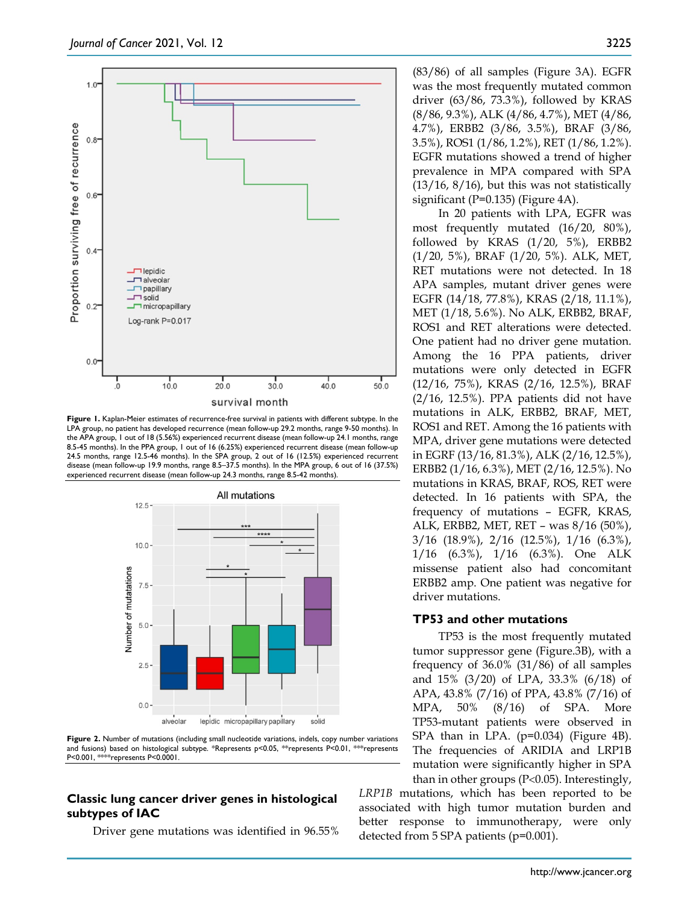

Figure 1. Kaplan-Meier estimates of recurrence-free survival in patients with different subtype. In the LPA group, no patient has developed recurrence (mean follow-up 29.2 months, range 9-50 months). In the APA group, 1 out of 18 (5.56%) experienced recurrent disease (mean follow-up 24.1 months, range 8.5-45 months). In the PPA group, 1 out of 16 (6.25%) experienced recurrent disease (mean follow-up 24.5 months, range 12.5-46 months). In the SPA group, 2 out of 16 (12.5%) experienced recurrent disease (mean follow-up 19.9 months, range 8.5–37.5 months). In the MPA group, 6 out of 16 (37.5%) experienced recurrent disease (mean follow-up 24.3 months, range 8.5-42 months).



**Figure 2.** Number of mutations (including small nucleotide variations, indels, copy number variations and fusions) based on histological subtype. \*Represents p<0.05, \*\*represents P<0.01, \*\*\*represents P<0.001, \*\*\*\*represents P<0.0001

## **Classic lung cancer driver genes in histological subtypes of IAC**

Driver gene mutations was identified in 96.55%

(83/86) of all samples (Figure 3A). EGFR was the most frequently mutated common driver (63/86, 73.3%), followed by KRAS (8/86, 9.3%), ALK (4/86, 4.7%), MET (4/86, 4.7%), ERBB2 (3/86, 3.5%), BRAF (3/86, 3.5%), ROS1 (1/86, 1.2%), RET (1/86, 1.2%). EGFR mutations showed a trend of higher prevalence in MPA compared with SPA  $(13/16, 8/16)$ , but this was not statistically significant (P=0.135) (Figure 4A).

In 20 patients with LPA, EGFR was most frequently mutated (16/20, 80%), followed by KRAS (1/20, 5%), ERBB2 (1/20, 5%), BRAF (1/20, 5%). ALK, MET, RET mutations were not detected. In 18 APA samples, mutant driver genes were EGFR (14/18, 77.8%), KRAS (2/18, 11.1%), MET (1/18, 5.6%). No ALK, ERBB2, BRAF, ROS1 and RET alterations were detected. One patient had no driver gene mutation. Among the 16 PPA patients, driver mutations were only detected in EGFR (12/16, 75%), KRAS (2/16, 12.5%), BRAF (2/16, 12.5%). PPA patients did not have mutations in ALK, ERBB2, BRAF, MET, ROS1 and RET. Among the 16 patients with MPA, driver gene mutations were detected in EGRF (13/16, 81.3%), ALK (2/16, 12.5%), ERBB2 (1/16, 6.3%), MET (2/16, 12.5%). No mutations in KRAS, BRAF, ROS, RET were detected. In 16 patients with SPA, the frequency of mutations – EGFR, KRAS, ALK, ERBB2, MET, RET – was 8/16 (50%), 3/16 (18.9%), 2/16 (12.5%), 1/16 (6.3%), 1/16 (6.3%), 1/16 (6.3%). One ALK missense patient also had concomitant ERBB2 amp. One patient was negative for driver mutations.

## **TP53 and other mutations**

TP53 is the most frequently mutated tumor suppressor gene (Figure.3B), with a frequency of 36.0% (31/86) of all samples and 15% (3/20) of LPA, 33.3% (6/18) of APA, 43.8% (7/16) of PPA, 43.8% (7/16) of MPA, 50% (8/16) of SPA. More TP53-mutant patients were observed in SPA than in LPA. (p=0.034) (Figure 4B). The frequencies of ARIDIA and LRP1B mutation were significantly higher in SPA than in other groups (P<0.05). Interestingly,

*LRP1B* mutations, which has been reported to be associated with high tumor mutation burden and better response to immunotherapy, were only detected from 5 SPA patients (p=0.001).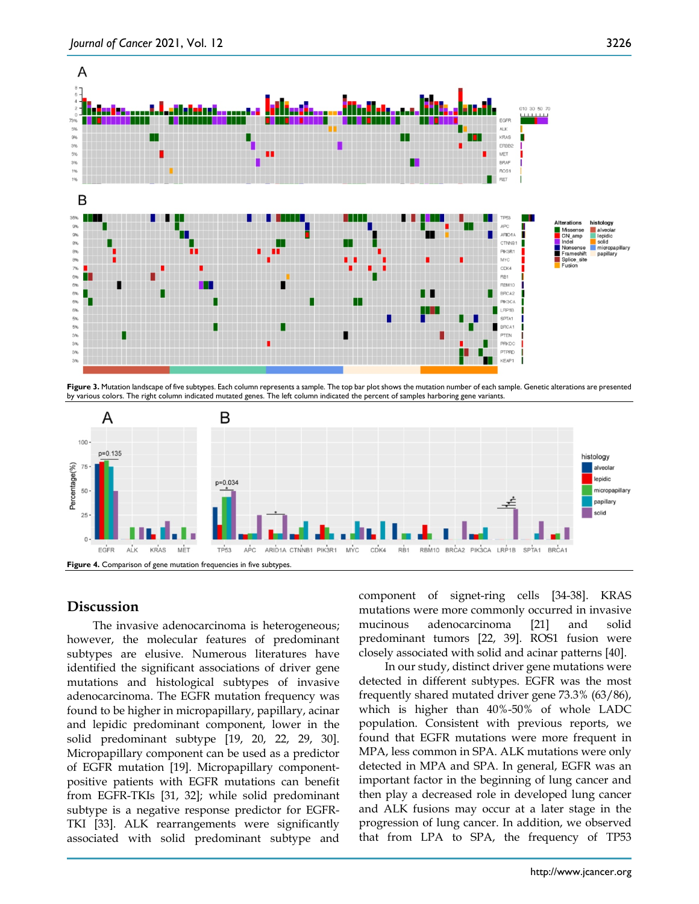

**Figure 3.** Mutation landscape of five subtypes. Each column represents a sample. The top bar plot shows the mutation number of each sample. Genetic alterations are presented by various colors. The right column indicated mutated genes. The left column indicated the percent of samples harboring gene variants.



# **Discussion**

The invasive adenocarcinoma is heterogeneous; however, the molecular features of predominant subtypes are elusive. Numerous literatures have identified the significant associations of driver gene mutations and histological subtypes of invasive adenocarcinoma. The EGFR mutation frequency was found to be higher in micropapillary, papillary, acinar and lepidic predominant component, lower in the solid predominant subtype [19, 20, 22, 29, 30]. Micropapillary component can be used as a predictor of EGFR mutation [19]. Micropapillary componentpositive patients with EGFR mutations can benefit from EGFR-TKIs [31, 32]; while solid predominant subtype is a negative response predictor for EGFR-TKI [33]. ALK rearrangements were significantly associated with solid predominant subtype and component of signet-ring cells [34-38]. KRAS mutations were more commonly occurred in invasive mucinous adenocarcinoma [21] and solid predominant tumors [22, 39]. ROS1 fusion were closely associated with solid and acinar patterns [40].

In our study, distinct driver gene mutations were detected in different subtypes. EGFR was the most frequently shared mutated driver gene 73.3% (63/86), which is higher than 40%-50% of whole LADC population. Consistent with previous reports, we found that EGFR mutations were more frequent in MPA, less common in SPA. ALK mutations were only detected in MPA and SPA. In general, EGFR was an important factor in the beginning of lung cancer and then play a decreased role in developed lung cancer and ALK fusions may occur at a later stage in the progression of lung cancer. In addition, we observed that from LPA to SPA, the frequency of TP53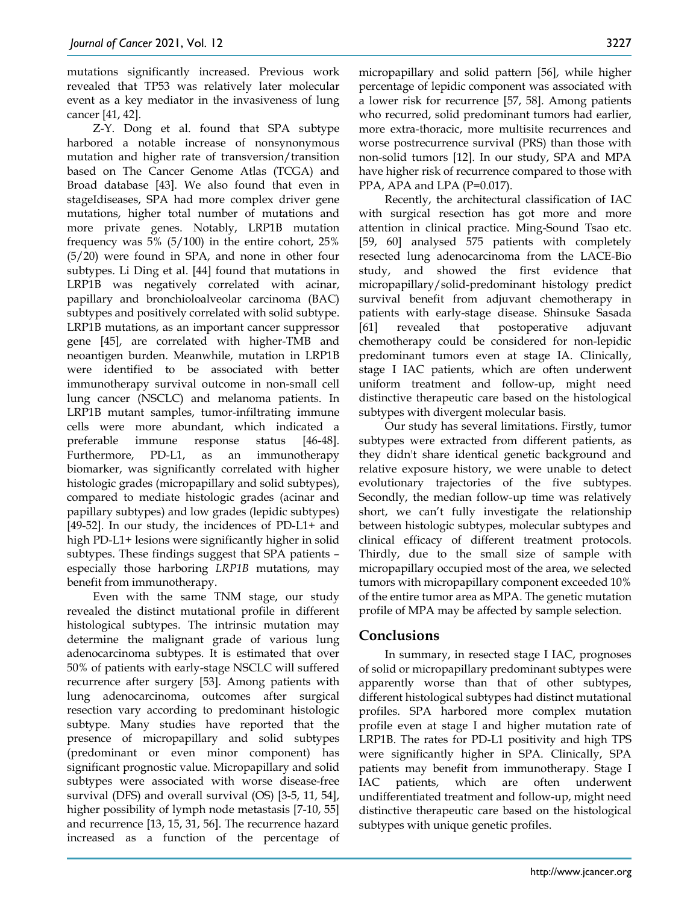mutations significantly increased. Previous work revealed that TP53 was relatively later molecular event as a key mediator in the invasiveness of lung cancer [41, 42].

Z-Y. Dong et al. found that SPA subtype harbored a notable increase of nonsynonymous mutation and higher rate of transversion/transition based on The Cancer Genome Atlas (TCGA) and Broad database [43]. We also found that even in stageIdiseases, SPA had more complex driver gene mutations, higher total number of mutations and more private genes. Notably, LRP1B mutation frequency was 5% (5/100) in the entire cohort, 25% (5/20) were found in SPA, and none in other four subtypes. Li Ding et al. [44] found that mutations in LRP1B was negatively correlated with acinar, papillary and bronchioloalveolar carcinoma (BAC) subtypes and positively correlated with solid subtype. LRP1B mutations, as an important cancer suppressor gene [45], are correlated with higher-TMB and neoantigen burden. Meanwhile, mutation in LRP1B were identified to be associated with better immunotherapy survival outcome in non-small cell lung cancer (NSCLC) and melanoma patients. In LRP1B mutant samples, tumor-infiltrating immune cells were more abundant, which indicated a preferable immune response status [46-48]. Furthermore, PD-L1, as an immunotherapy biomarker, was significantly correlated with higher histologic grades (micropapillary and solid subtypes), compared to mediate histologic grades (acinar and papillary subtypes) and low grades (lepidic subtypes) [49-52]. In our study, the incidences of PD-L1+ and high PD-L1+ lesions were significantly higher in solid subtypes. These findings suggest that SPA patients – especially those harboring *LRP1B* mutations, may benefit from immunotherapy.

Even with the same TNM stage, our study revealed the distinct mutational profile in different histological subtypes. The intrinsic mutation may determine the malignant grade of various lung adenocarcinoma subtypes. It is estimated that over 50% of patients with early-stage NSCLC will suffered recurrence after surgery [53]. Among patients with lung adenocarcinoma, outcomes after surgical resection vary according to predominant histologic subtype. Many studies have reported that the presence of micropapillary and solid subtypes (predominant or even minor component) has significant prognostic value. Micropapillary and solid subtypes were associated with worse disease-free survival (DFS) and overall survival (OS) [3-5, 11, 54], higher possibility of lymph node metastasis [7-10, 55] and recurrence [13, 15, 31, 56]. The recurrence hazard increased as a function of the percentage of

micropapillary and solid pattern [56], while higher percentage of lepidic component was associated with a lower risk for recurrence [57, 58]. Among patients who recurred, solid predominant tumors had earlier, more extra-thoracic, more multisite recurrences and worse postrecurrence survival (PRS) than those with non-solid tumors [12]. In our study, SPA and MPA have higher risk of recurrence compared to those with PPA, APA and LPA (P=0.017).

Recently, the architectural classification of IAC with surgical resection has got more and more attention in clinical practice. Ming-Sound Tsao etc. [59, 60] analysed 575 patients with completely resected lung adenocarcinoma from the LACE-Bio study, and showed the first evidence that micropapillary/solid-predominant histology predict survival benefit from adjuvant chemotherapy in patients with early-stage disease. Shinsuke Sasada [61] revealed that postoperative adjuvant chemotherapy could be considered for non-lepidic predominant tumors even at stage IA. Clinically, stage I IAC patients, which are often underwent uniform treatment and follow-up, might need distinctive therapeutic care based on the histological subtypes with divergent molecular basis.

Our study has several limitations. Firstly, tumor subtypes were extracted from different patients, as they didn't share identical genetic background and relative exposure history, we were unable to detect evolutionary trajectories of the five subtypes. Secondly, the median follow-up time was relatively short, we can't fully investigate the relationship between histologic subtypes, molecular subtypes and clinical efficacy of different treatment protocols. Thirdly, due to the small size of sample with micropapillary occupied most of the area, we selected tumors with micropapillary component exceeded 10% of the entire tumor area as MPA. The genetic mutation profile of MPA may be affected by sample selection.

# **Conclusions**

In summary, in resected stage I IAC, prognoses of solid or micropapillary predominant subtypes were apparently worse than that of other subtypes, different histological subtypes had distinct mutational profiles. SPA harbored more complex mutation profile even at stage I and higher mutation rate of LRP1B. The rates for PD-L1 positivity and high TPS were significantly higher in SPA. Clinically, SPA patients may benefit from immunotherapy. Stage I IAC patients, which are often underwent undifferentiated treatment and follow-up, might need distinctive therapeutic care based on the histological subtypes with unique genetic profiles.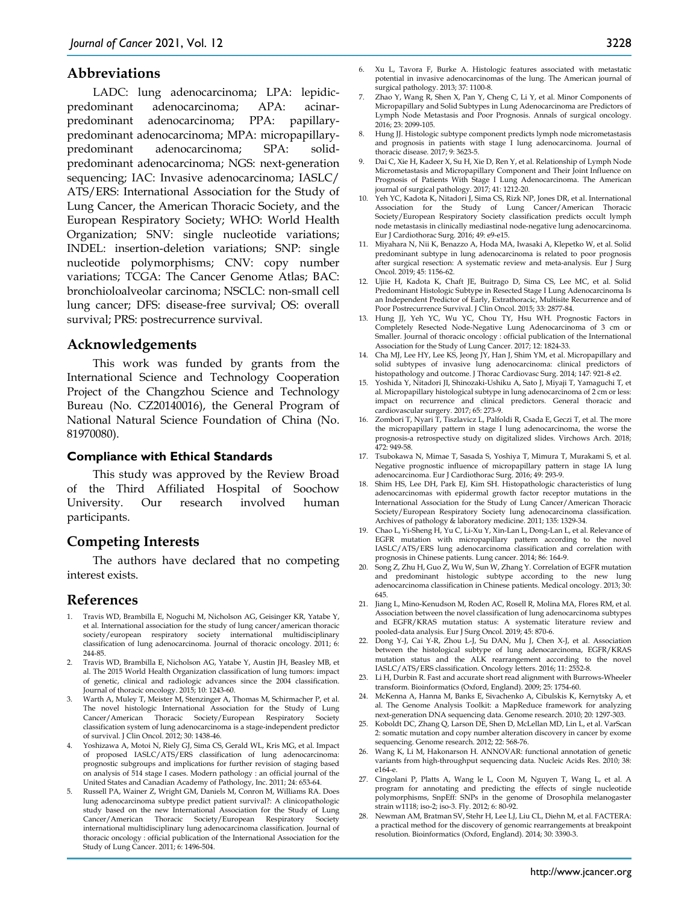## **Abbreviations**

LADC: lung adenocarcinoma; LPA: lepidicpredominant adenocarcinoma; APA: acinarpredominant adenocarcinoma; PPA: papillarypredominant adenocarcinoma; MPA: micropapillarypredominant adenocarcinoma; SPA: solidpredominant adenocarcinoma; NGS: next-generation sequencing; IAC: Invasive adenocarcinoma; IASLC/ ATS/ERS: International Association for the Study of Lung Cancer, the American Thoracic Society, and the European Respiratory Society; WHO: World Health Organization; SNV: single nucleotide variations; INDEL: insertion-deletion variations; SNP: single nucleotide polymorphisms; CNV: copy number variations; TCGA: The Cancer Genome Atlas; BAC: bronchioloalveolar carcinoma; NSCLC: non-small cell lung cancer; DFS: disease-free survival; OS: overall survival; PRS: postrecurrence survival.

## **Acknowledgements**

This work was funded by grants from the International Science and Technology Cooperation Project of the Changzhou Science and Technology Bureau (No. CZ20140016), the General Program of National Natural Science Foundation of China (No. 81970080).

#### **Compliance with Ethical Standards**

This study was approved by the Review Broad of the Third Affiliated Hospital of Soochow University. Our research involved human participants.

# **Competing Interests**

The authors have declared that no competing interest exists.

## **References**

- 1. Travis WD, Brambilla E, Noguchi M, Nicholson AG, Geisinger KR, Yatabe Y, et al. International association for the study of lung cancer/american thoracic society/european respiratory society international multidisciplinary classification of lung adenocarcinoma. Journal of thoracic oncology. 2011; 6: 244-85.
- 2. Travis WD, Brambilla E, Nicholson AG, Yatabe Y, Austin JH, Beasley MB, et al. The 2015 World Health Organization classification of lung tumors: impact of genetic, clinical and radiologic advances since the 2004 classification. Journal of thoracic oncology. 2015; 10: 1243-60.
- 3. Warth A, Muley T, Meister M, Stenzinger A, Thomas M, Schirmacher P, et al. The novel histologic International Association for the Study of Lung<br>
Cancer/American Thoracic Society/European Respiratory Society Cancer/American Thoracic Society/European Respiratory classification system of lung adenocarcinoma is a stage-independent predictor of survival. J Clin Oncol. 2012; 30: 1438-46.
- 4. Yoshizawa A, Motoi N, Riely GJ, Sima CS, Gerald WL, Kris MG, et al. Impact of proposed IASLC/ATS/ERS classification of lung adenocarcinoma: prognostic subgroups and implications for further revision of staging based on analysis of 514 stage I cases. Modern pathology : an official journal of the United States and Canadian Academy of Pathology, Inc. 2011; 24: 653-64.
- 5. Russell PA, Wainer Z, Wright GM, Daniels M, Conron M, Williams RA. Does lung adenocarcinoma subtype predict patient survival?: A clinicopathologic study based on the new International Association for the Study of Lung<br>Cancer/American Thoracic Society/European Respiratory Society Cancer/American Thoracic Society/European Respiratory international multidisciplinary lung adenocarcinoma classification. Journal of thoracic oncology : official publication of the International Association for the Study of Lung Cancer. 2011; 6: 1496-504.
- 7. Zhao Y, Wang R, Shen X, Pan Y, Cheng C, Li Y, et al. Minor Components of Micropapillary and Solid Subtypes in Lung Adenocarcinoma are Predictors of Lymph Node Metastasis and Poor Prognosis. Annals of surgical oncology. 2016; 23: 2099-105.
- 8. Hung JJ. Histologic subtype component predicts lymph node micrometastasis and prognosis in patients with stage I lung adenocarcinoma. Journal of thoracic disease. 2017; 9: 3623-5.
- 9. Dai C, Xie H, Kadeer X, Su H, Xie D, Ren Y, et al. Relationship of Lymph Node Micrometastasis and Micropapillary Component and Their Joint Influence on Prognosis of Patients With Stage I Lung Adenocarcinoma. The American journal of surgical pathology. 2017; 41: 1212-20.
- 10. Yeh YC, Kadota K, Nitadori J, Sima CS, Rizk NP, Jones DR, et al. International Association for the Study of Lung Cancer/American Thoracic Society/European Respiratory Society classification predicts occult lymph node metastasis in clinically mediastinal node-negative lung adenocarcinoma. Eur J Cardiothorac Surg. 2016; 49: e9-e15.
- 11. Miyahara N, Nii K, Benazzo A, Hoda MA, Iwasaki A, Klepetko W, et al. Solid predominant subtype in lung adenocarcinoma is related to poor prognosis after surgical resection: A systematic review and meta-analysis. Eur J Surg Oncol. 2019; 45: 1156-62.
- 12. Ujiie H, Kadota K, Chaft JE, Buitrago D, Sima CS, Lee MC, et al. Solid Predominant Histologic Subtype in Resected Stage I Lung Adenocarcinoma Is an Independent Predictor of Early, Extrathoracic, Multisite Recurrence and of Poor Postrecurrence Survival. J Clin Oncol. 2015; 33: 2877-84.
- 13. Hung JJ, Yeh YC, Wu YC, Chou TY, Hsu WH. Prognostic Factors in Completely Resected Node-Negative Lung Adenocarcinoma of 3 cm or Smaller. Journal of thoracic oncology : official publication of the International Association for the Study of Lung Cancer. 2017; 12: 1824-33.
- 14. Cha MJ, Lee HY, Lee KS, Jeong JY, Han J, Shim YM, et al. Micropapillary and solid subtypes of invasive lung adenocarcinoma: clinical predictors of histopathology and outcome. J Thorac Cardiovasc Surg. 2014; 147: 921-8 e2.
- 15. Yoshida Y, Nitadori JI, Shinozaki-Ushiku A, Sato J, Miyaji T, Yamaguchi T, et al. Micropapillary histological subtype in lung adenocarcinoma of 2 cm or less: impact on recurrence and clinical predictors. General thoracic and cardiovascular surgery. 2017; 65: 273-9.
- 16. Zombori T, Nyari T, Tiszlavicz L, Palfoldi R, Csada E, Geczi T, et al. The more the micropapillary pattern in stage I lung adenocarcinoma, the worse the prognosis-a retrospective study on digitalized slides. Virchows Arch. 2018; 472: 949-58.
- 17. Tsubokawa N, Mimae T, Sasada S, Yoshiya T, Mimura T, Murakami S, et al. Negative prognostic influence of micropapillary pattern in stage IA lung adenocarcinoma. Eur J Cardiothorac Surg. 2016; 49: 293-9.
- 18. Shim HS, Lee DH, Park EJ, Kim SH. Histopathologic characteristics of lung adenocarcinomas with epidermal growth factor receptor mutations in the International Association for the Study of Lung Cancer/American Thoracic Society/European Respiratory Society lung adenocarcinoma classification. Archives of pathology & laboratory medicine. 2011; 135: 1329-34.
- 19. Chao L, Yi-Sheng H, Yu C, Li-Xu Y, Xin-Lan L, Dong-Lan L, et al. Relevance of EGFR mutation with micropapillary pattern according to the novel IASLC/ATS/ERS lung adenocarcinoma classification and correlation with prognosis in Chinese patients. Lung cancer. 2014; 86: 164-9.
- 20. Song Z, Zhu H, Guo Z, Wu W, Sun W, Zhang Y. Correlation of EGFR mutation and predominant histologic subtype according to the new lung adenocarcinoma classification in Chinese patients. Medical oncology. 2013; 30: 645.
- 21. Jiang L, Mino-Kenudson M, Roden AC, Rosell R, Molina MA, Flores RM, et al. Association between the novel classification of lung adenocarcinoma subtypes and EGFR/KRAS mutation status: A systematic literature review and pooled-data analysis. Eur J Surg Oncol. 2019; 45: 870-6.
- 22. Dong Y-J, Cai Y-R, Zhou L-J, Su DAN, Mu J, Chen X-J, et al. Association between the histological subtype of lung adenocarcinoma, EGFR/KRAS mutation status and the ALK rearrangement according to the novel IASLC/ATS/ERS classification. Oncology letters. 2016; 11: 2552-8.
- 23. Li H, Durbin R. Fast and accurate short read alignment with Burrows-Wheeler transform. Bioinformatics (Oxford, England). 2009; 25: 1754-60.
- 24. McKenna A, Hanna M, Banks E, Sivachenko A, Cibulskis K, Kernytsky A, et al. The Genome Analysis Toolkit: a MapReduce framework for analyzing next-generation DNA sequencing data. Genome research. 2010; 20: 1297-303.
- 25. Koboldt DC, Zhang Q, Larson DE, Shen D, McLellan MD, Lin L, et al. VarScan 2: somatic mutation and copy number alteration discovery in cancer by exome sequencing. Genome research. 2012; 22: 568-76.
- 26. Wang K, Li M, Hakonarson H. ANNOVAR: functional annotation of genetic variants from high-throughput sequencing data. Nucleic Acids Res. 2010; 38: e164-e.
- 27. Cingolani P, Platts A, Wang le L, Coon M, Nguyen T, Wang L, et al. A program for annotating and predicting the effects of single nucleotide polymorphisms, SnpEff: SNPs in the genome of Drosophila melanogaster strain w1118; iso-2; iso-3. Fly. 2012; 6: 80-92.
- 28. Newman AM, Bratman SV, Stehr H, Lee LJ, Liu CL, Diehn M, et al. FACTERA: a practical method for the discovery of genomic rearrangements at breakpoint resolution. Bioinformatics (Oxford, England). 2014; 30: 3390-3.